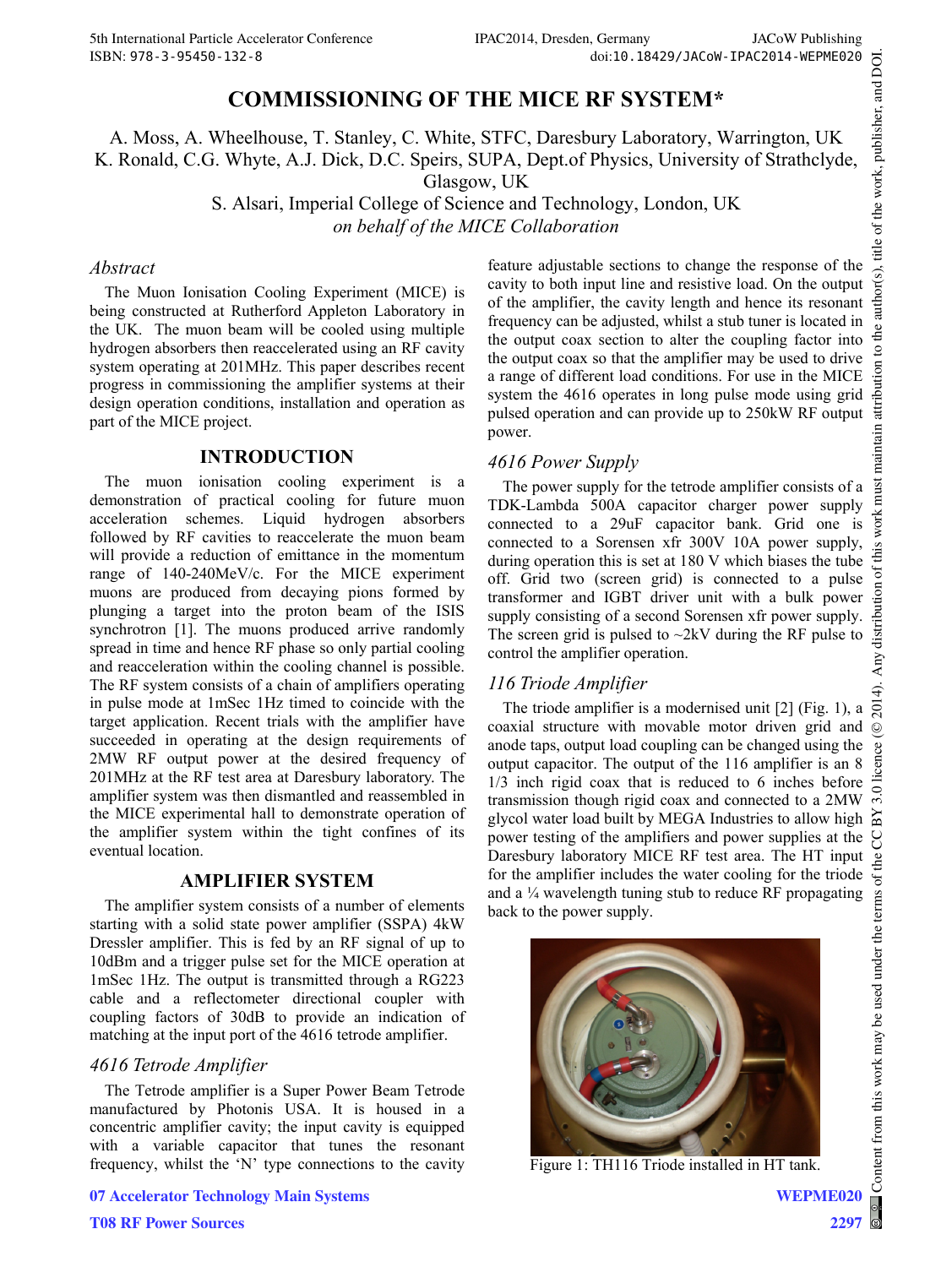# **COMMISSIONING OF THE MICE RF SYSTEM\***

A. Moss, A. Wheelhouse, T. Stanley, C. White, STFC, Daresbury Laboratory, Warrington, UK K. Ronald, C.G. Whyte, A.J. Dick, D.C. Speirs, SUPA, Dept.of Physics, University of Strathclyde, Glasgow, UK

> S. Alsari, Imperial College of Science and Technology, London, UK *on behalf of the MICE Collaboration*

### *Abstract*

The Muon Ionisation Cooling Experiment (MICE) is being constructed at Rutherford Appleton Laboratory in the UK. The muon beam will be cooled using multiple hydrogen absorbers then reaccelerated using an RF cavity system operating at 201MHz. This paper describes recent progress in commissioning the amplifier systems at their design operation conditions, installation and operation as part of the MICE project.

## **INTRODUCTION**

The muon ionisation cooling experiment is a demonstration of practical cooling for future muon acceleration schemes. Liquid hydrogen absorbers followed by RF cavities to reaccelerate the muon beam will provide a reduction of emittance in the momentum range of 140-240MeV/c. For the MICE experiment muons are produced from decaying pions formed by plunging a target into the proton beam of the ISIS synchrotron [1]. The muons produced arrive randomly spread in time and hence RF phase so only partial cooling and reacceleration within the cooling channel is possible. The RF system consists of a chain of amplifiers operating in pulse mode at 1mSec 1Hz timed to coincide with the target application. Recent trials with the amplifier have succeeded in operating at the design requirements of 2MW RF output power at the desired frequency of 201MHz at the RF test area at Daresbury laboratory. The amplifier system was then dismantled and reassembled in the MICE experimental hall to demonstrate operation of the amplifier system within the tight confines of its eventual location.

### **AMPLIFIER SYSTEM**

The amplifier system consists of a number of elements starting with a solid state power amplifier (SSPA) 4kW Dressler amplifier. This is fed by an RF signal of up to 10dBm and a trigger pulse set for the MICE operation at 1mSec 1Hz. The output is transmitted through a RG223 cable and a reflectometer directional coupler with coupling factors of 30dB to provide an indication of matching at the input port of the 4616 tetrode amplifier.

## *4616 Tetrode Amplifier*

The Tetrode amplifier is a Super Power Beam Tetrode manufactured by Photonis USA. It is housed in a concentric amplifier cavity; the input cavity is equipped with a variable capacitor that tunes the resonant frequency, whilst the 'N' type connections to the cavity

**07 Accelerator Technology Main Systems**

feature adjustable sections to change the response of the cavity to both input line and resistive load. On the output of the amplifier, the cavity length and hence its resonant frequency can be adjusted, whilst a stub tuner is located in the output coax section to alter the coupling factor into the output coax so that the amplifier may be used to drive a range of different load conditions. For use in the MICE system the 4616 operates in long pulse mode using grid pulsed operation and can provide up to 250kW RF output power.

## *4616 Power Supply*

The power supply for the tetrode amplifier consists of a TDK-Lambda 500A capacitor charger power supply connected to a 29uF capacitor bank. Grid one is connected to a Sorensen xfr 300V 10A power supply, during operation this is set at 180 V which biases the tube off. Grid two (screen grid) is connected to a pulse transformer and IGBT driver unit with a bulk power supply consisting of a second Sorensen xfr power supply. The screen grid is pulsed to  $\sim$ 2kV during the RF pulse to control the amplifier operation.

## *116 Triode Amplifier*

The triode amplifier is a modernised unit [2] (Fig. 1), a coaxial structure with movable motor driven grid and anode taps, output load coupling can be changed using the output capacitor. The output of the 116 amplifier is an 8 1/3 inch rigid coax that is reduced to 6 inches before transmission though rigid coax and connected to a 2MW glycol water load built by MEGA Industries to allow high  $\approx$ power testing of the amplifiers and power supplies at the Daresbury laboratory MICE RF test area. The HT input for the amplifier includes the water cooling for the triode and a  $\frac{1}{4}$  wavelength tuning stub to reduce RF propagating back to the power supply.



Figure 1: TH116 Triode installed in HT tank.

**WEPME020**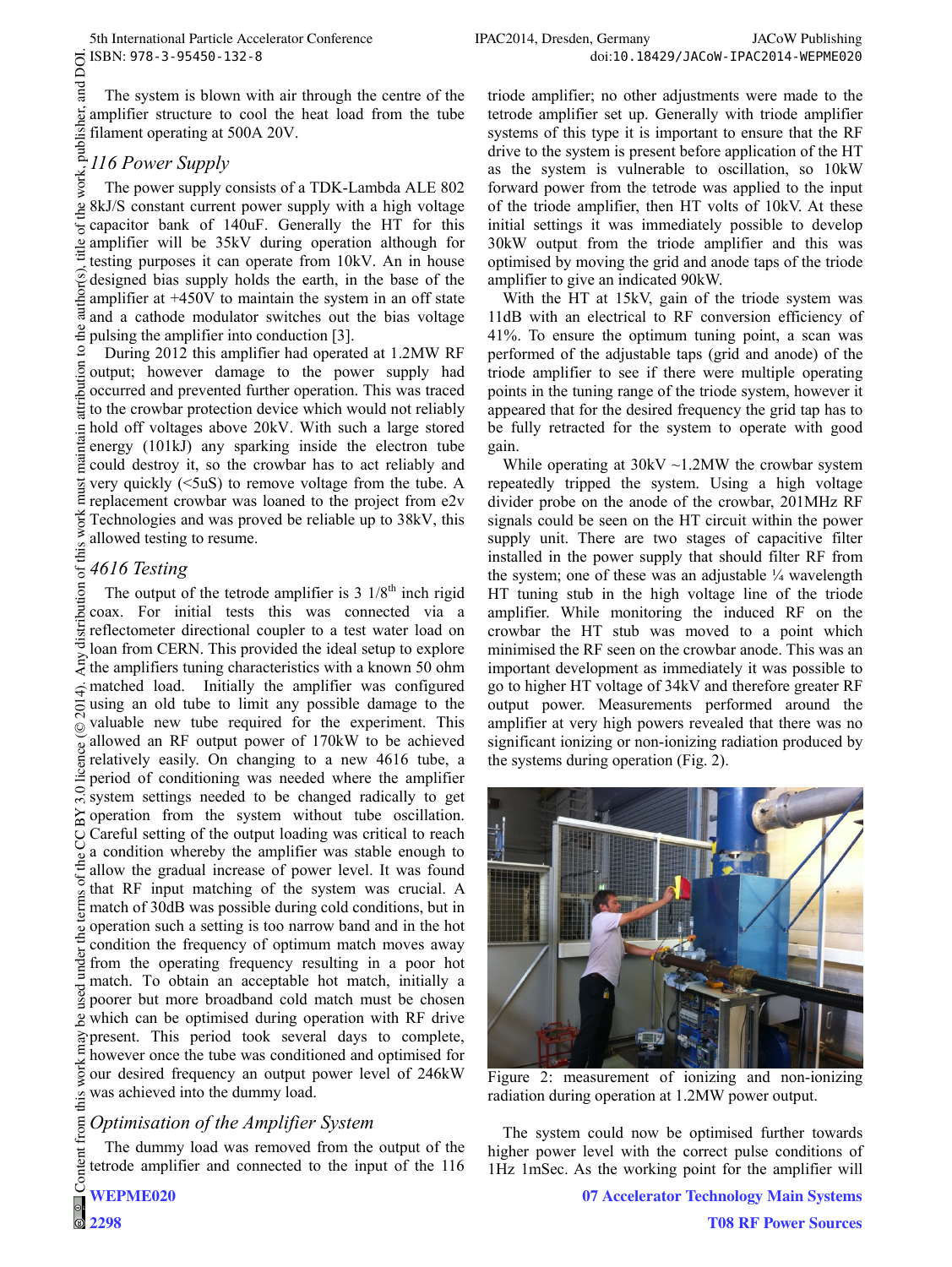**Fand** The system is blown with air through the centre of the  $\frac{1}{2}$  ampline.<br>  $\frac{1}{2}$  filament operain.<br>  $\frac{1}{2}$  *116 Power Supply*<br>
The power supply (<br>
The power supply (<br>  $\frac{1}{2}$  and currence amplifier structure to cool the heat load from the tube filament operating at 500A 20V.

The power supply consists of a TDK-Lambda ALE 802 8kJ/S constant current power supply with a high voltage capacitor bank of 140uF. Generally the HT for this  $\frac{3}{4}$  amplifier will be 35kV during operation although for testing purposes it can operate from 10kV. An in house designed bias supply holds the earth, in the base of the amplifier at +450V to maintain the system in an off state and a cathode modulator switches out the bias voltage pulsing the amplifier into conduction [3].

© 2014). Any distribution of this work must maintain attribution to the author(s), title of the work, publisher, and DOI.<br>  $\epsilon \leq \frac{1}{2}$   $\Rightarrow \frac{1}{2}$   $\Rightarrow \frac{1}{2}$   $\Rightarrow \frac{1}{2}$   $\Rightarrow \epsilon$  o  $\alpha$  o  $\alpha$  o  $\alpha$  o  $\alpha$  o  $\alpha$  o  $\alpha$ During 2012 this amplifier had operated at 1.2MW RF output; however damage to the power supply had occurred and prevented further operation. This was traced  $\frac{1}{2}$  to the crowbar protection device which would not reliably hold off voltages above 20kV. With such a large stored energy (101kJ) any sparking inside the electron tube could destroy it, so the crowbar has to act reliably and  $\frac{1}{2}$  very quickly (<5uS) to remove voltage from the tube. A  $\overline{a}$ replacement crowbar was loaned to the project from e2v Technologies and was proved be reliable up to 38kV, this allowed testing to resume.

# *4616 Testing*

bution The output of the tetrode amplifier is  $3 \frac{1}{8}$ <sup>th</sup> inch rigid coax. For initial tests this was connected via a distrit reflectometer directional coupler to a test water load on loan from CERN. This provided the ideal setup to explore  $\sum_{i=1}^{\infty}$  the amplifiers tuning characteristics with a known 50 ohm matched load. Initially the amplifier was configured  $\overline{4}$ . using an old tube to limit any possible damage to the  $\overline{5}$ valuable new tube required for the experiment. This  $\odot$ Content from this work may be used under the terms of the CC BY 3.0 licence ( $\epsilon$ allowed an RF output power of 170kW to be achieved relatively easily. On changing to a new 4616 tube, a period of conditioning was needed where the amplifier  $3.0$ system settings needed to be changed radically to get  $\approx$  operation from the system without tube oscillation. Careful setting of the output loading was critical to reach g a condition whereby the amplifier was stable enough to the allow the gradual increase of power level. It was found  $18$  of t that RF input matching of the system was crucial. A erm match of 30dB was possible during cold conditions, but in operation such a setting is too narrow band and in the hot condition the frequency of optimum match moves away under from the operating frequency resulting in a poor hot match. To obtain an acceptable hot match, initially a  $\frac{1}{2}$  match. To obtain an acceptable not match, initially a geoder but more broadband cold match must be chosen which can be optimised during operation with RF drive  $\frac{1}{2}$  present. This period took several days to complete, however once the tube was conditioned and optimised for work our desired frequency an output power level of 246kW was achieved into the dummy load.  $\frac{1}{10}$ 

### from t *Optimisation of the Amplifier System*

The dummy load was removed from the output of the tetrode amplifier and connected to the input of the 116 triode amplifier; no other adjustments were made to the tetrode amplifier set up. Generally with triode amplifier systems of this type it is important to ensure that the RF drive to the system is present before application of the HT as the system is vulnerable to oscillation, so 10kW forward power from the tetrode was applied to the input of the triode amplifier, then HT volts of 10kV. At these initial settings it was immediately possible to develop 30kW output from the triode amplifier and this was optimised by moving the grid and anode taps of the triode amplifier to give an indicated 90kW.

With the HT at 15kV, gain of the triode system was 11dB with an electrical to RF conversion efficiency of 41%. To ensure the optimum tuning point, a scan was performed of the adjustable taps (grid and anode) of the triode amplifier to see if there were multiple operating points in the tuning range of the triode system, however it appeared that for the desired frequency the grid tap has to be fully retracted for the system to operate with good gain.

While operating at  $30kV \sim 1.2MW$  the crowbar system repeatedly tripped the system. Using a high voltage divider probe on the anode of the crowbar, 201MHz RF signals could be seen on the HT circuit within the power supply unit. There are two stages of capacitive filter installed in the power supply that should filter RF from the system; one of these was an adjustable  $\frac{1}{4}$  wavelength HT tuning stub in the high voltage line of the triode amplifier. While monitoring the induced RF on the crowbar the HT stub was moved to a point which minimised the RF seen on the crowbar anode. This was an important development as immediately it was possible to go to higher HT voltage of 34kV and therefore greater RF output power. Measurements performed around the amplifier at very high powers revealed that there was no significant ionizing or non-ionizing radiation produced by the systems during operation (Fig. 2).



Figure 2: measurement of ionizing and non-ionizing radiation during operation at 1.2MW power output.

The system could now be optimised further towards higher power level with the correct pulse conditions of 1Hz 1mSec. As the working point for the amplifier will

**07 Accelerator Technology Main Systems**